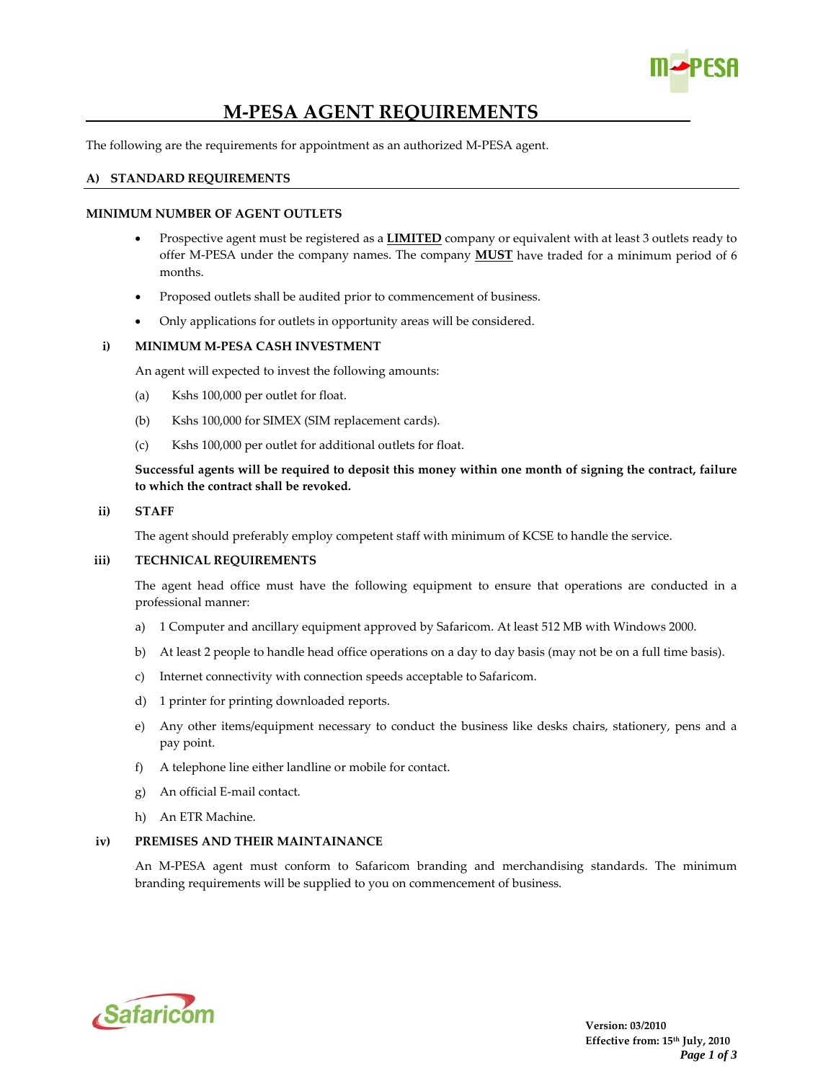

# **M‐PESA AGENT REQUIREMENTS**

The following are the requirements for appointment as an authorized M‐PESA agent.

### **A) STANDARD REQUIREMENTS**

### **MINIMUM NUMBER OF AGENT OUTLETS**

- Prospective agent must be registered as a **LIMITED** company or equivalent with at least 3 outlets ready to offer M‐PESA under the company names. The company **MUST** have traded for a minimum period of 6 months.
- Proposed outlets shall be audited prior to commencement of business.
- Only applications for outlets in opportunity areas will be considered.

#### **i) MINIMUM M‐PESA CASH INVESTMENT**

An agent will expected to invest the following amounts:

- (a) Kshs 100,000 per outlet for float.
- (b) Kshs 100,000 for SIMEX (SIM replacement cards).
- (c) Kshs 100,000 per outlet for additional outlets for float.

Successful agents will be required to deposit this money within one month of signing the contract, failure **to which the contract shall be revoked.**

#### **ii) STAFF**

The agent should preferably employ competent staff with minimum of KCSE to handle the service.

#### **iii) TECHNICAL REQUIREMENTS**

The agent head office must have the following equipment to ensure that operations are conducted in a professional manner:

- a) 1 Computer and ancillary equipment approved by Safaricom. At least 512 MB with Windows 2000.
- b) At least 2 people to handle head office operations on a day to day basis (may not be on a full time basis).
- c) Internet connectivity with connection speeds acceptable to Safaricom.
- d) 1 printer for printing downloaded reports.
- e) Any other items/equipment necessary to conduct the business like desks chairs, stationery, pens and a pay point.
- f) A telephone line either landline or mobile for contact.
- g) An official E‐mail contact.
- h) An ETR Machine.

# **iv) PREMISES AND THEIR MAINTAINANCE**

An M‐PESA agent must conform to Safaricom branding and merchandising standards. The minimum branding requirements will be supplied to you on commencement of business.

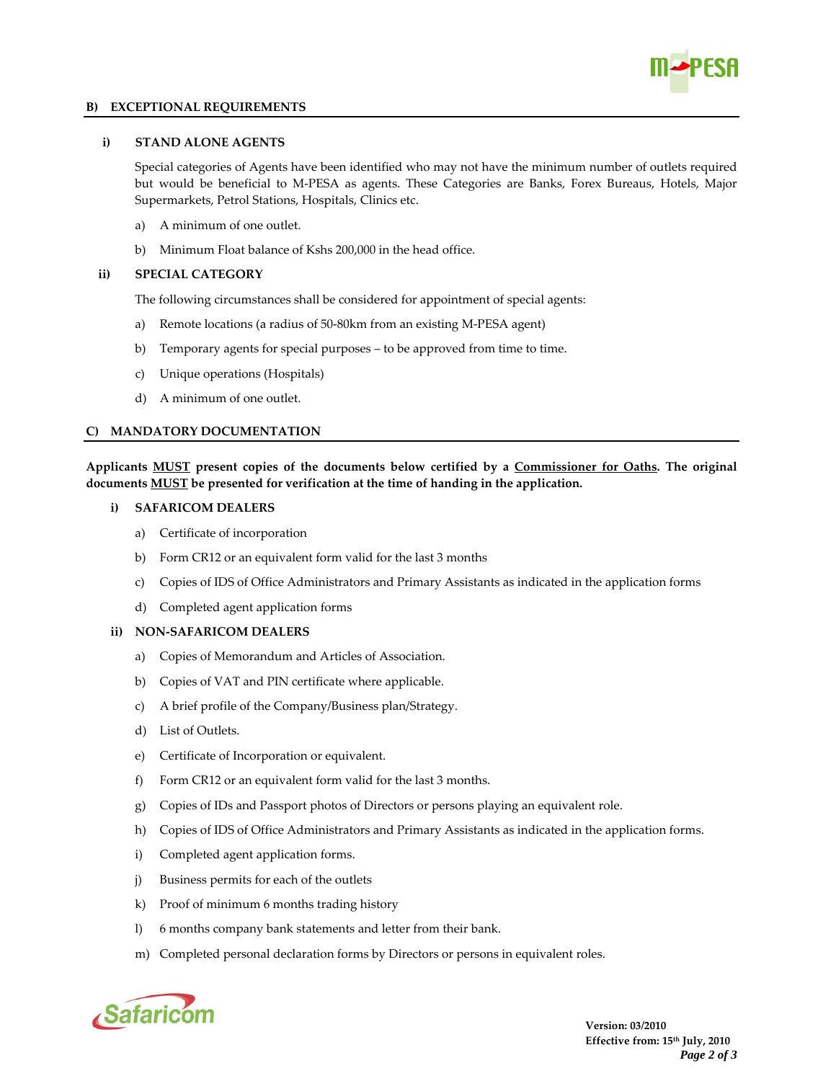

### **B) EXCEPTIONAL REQUIREMENTS**

# **i) STAND ALONE AGENTS**

Special categories of Agents have been identified who may not have the minimum number of outlets required but would be beneficial to M‐PESA as agents. These Categories are Banks, Forex Bureaus, Hotels, Major Supermarkets, Petrol Stations, Hospitals, Clinics etc.

- a) A minimum of one outlet.
- b) Minimum Float balance of Kshs 200,000 in the head office.

#### **ii) SPECIAL CATEGORY**

The following circumstances shall be considered for appointment of special agents:

- a) Remote locations (a radius of 50‐80km from an existing M‐PESA agent)
- b) Temporary agents for special purposes to be approved from time to time.
- c) Unique operations (Hospitals)
- d) A minimum of one outlet.

## **C) MANDATORY DOCUMENTATION**

**Applicants MUST present copies of the documents below certified by a Commissioner for Oaths. The original documents MUST be presented for verification at the time of handing in the application.** 

#### **i) SAFARICOM DEALERS**

- a) Certificate of incorporation
- b) Form CR12 or an equivalent form valid for the last 3 months
- c) Copies of IDS of Office Administrators and Primary Assistants as indicated in the application forms
- d) Completed agent application forms

## **ii) NON‐SAFARICOM DEALERS**

- a) Copies of Memorandum and Articles of Association.
- b) Copies of VAT and PIN certificate where applicable.
- c) A brief profile of the Company/Business plan/Strategy.
- d) List of Outlets.
- e) Certificate of Incorporation or equivalent.
- f) Form CR12 or an equivalent form valid for the last 3 months.
- g) Copies of IDs and Passport photos of Directors or persons playing an equivalent role.
- h) Copies of IDS of Office Administrators and Primary Assistants as indicated in the application forms.
- i) Completed agent application forms.
- j) Business permits for each of the outlets
- k) Proof of minimum 6 months trading history
- l) 6 months company bank statements and letter from their bank.
- m) Completed personal declaration forms by Directors or persons in equivalent roles.